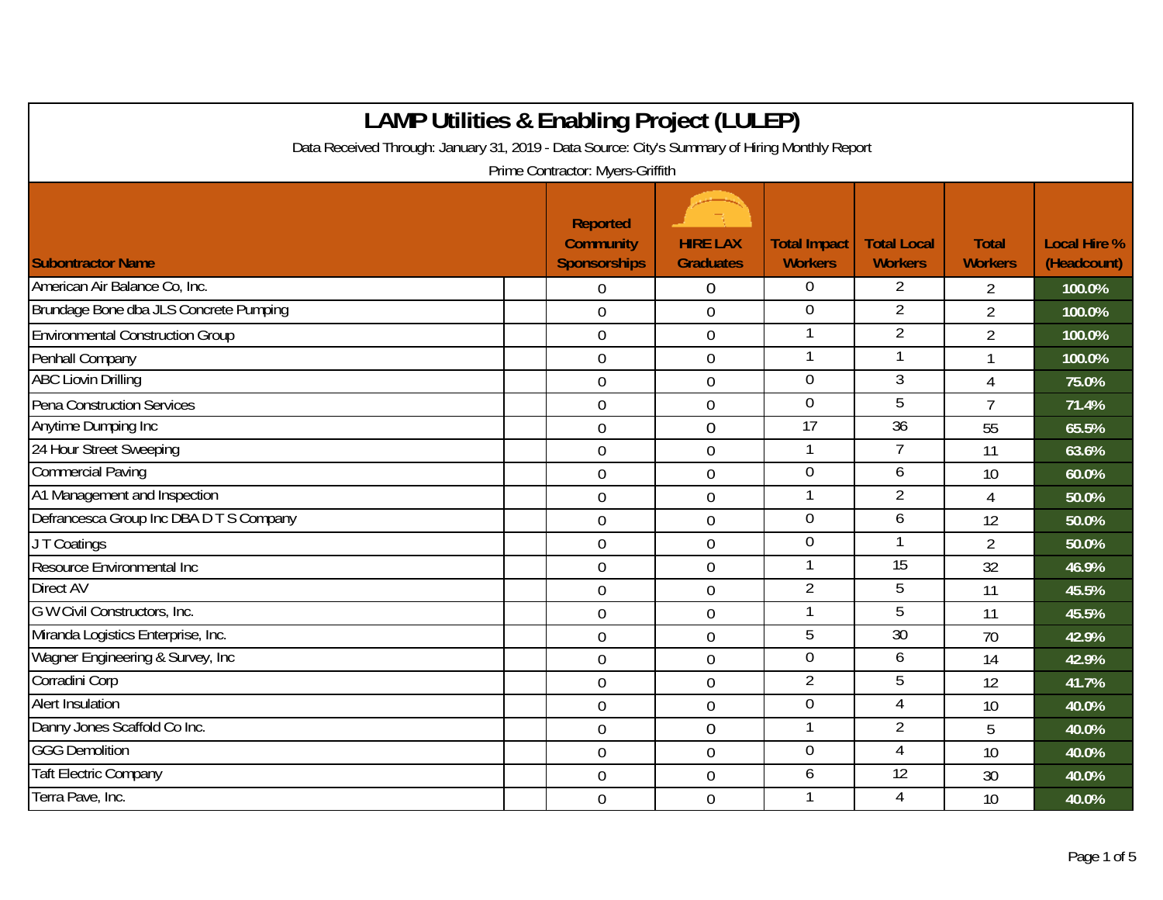| <b>LAMP Utilities &amp; Enabling Project (LULEP)</b><br>Data Received Through: January 31, 2019 - Data Source: City's Summary of Hiring Monthly Report |                                                                                                |                                     |                                       |                                      |                                |                                    |  |
|--------------------------------------------------------------------------------------------------------------------------------------------------------|------------------------------------------------------------------------------------------------|-------------------------------------|---------------------------------------|--------------------------------------|--------------------------------|------------------------------------|--|
| <b>Subontractor Name</b>                                                                                                                               | Prime Contractor: Myers-Griffith<br><b>Reported</b><br><b>Community</b><br><b>Sponsorships</b> | <b>HIRE LAX</b><br><b>Graduates</b> | <b>Total Impact</b><br><b>Workers</b> | <b>Total Local</b><br><b>Workers</b> | <b>Total</b><br><b>Workers</b> | <b>Local Hire %</b><br>(Headcount) |  |
| American Air Balance Co, Inc.                                                                                                                          | $\overline{0}$                                                                                 | 0                                   | 0                                     | 2                                    | $\overline{2}$                 | 100.0%                             |  |
| Brundage Bone dba JLS Concrete Pumping                                                                                                                 | $\overline{0}$                                                                                 | $\overline{0}$                      | $\overline{0}$                        | $\overline{2}$                       | $\overline{2}$                 | 100.0%                             |  |
| <b>Environmental Construction Group</b>                                                                                                                | $\mathbf 0$                                                                                    | $\mathbf 0$                         | 1                                     | $\overline{2}$                       | $\overline{2}$                 | 100.0%                             |  |
| Penhall Company                                                                                                                                        | $\overline{0}$                                                                                 | 0                                   | 1                                     | 1                                    | 1                              | 100.0%                             |  |
| <b>ABC Liovin Drilling</b>                                                                                                                             | $\overline{0}$                                                                                 | $\mathbf 0$                         | $\mathbf 0$                           | 3                                    | 4                              | 75.0%                              |  |
| Pena Construction Services                                                                                                                             | $\overline{0}$                                                                                 | $\overline{0}$                      | $\overline{0}$                        | $\overline{5}$                       | $\overline{7}$                 | 71.4%                              |  |
| Anytime Dumping Inc                                                                                                                                    | $\overline{0}$                                                                                 | $\overline{0}$                      | $\overline{17}$                       | $\overline{36}$                      | 55                             | 65.5%                              |  |
| 24 Hour Street Sweeping                                                                                                                                | $\overline{0}$                                                                                 | 0                                   | 1                                     | 7                                    | 11                             | 63.6%                              |  |
| <b>Commercial Paving</b>                                                                                                                               | $\overline{0}$                                                                                 | $\overline{0}$                      | $\overline{0}$                        | 6                                    | 10                             | 60.0%                              |  |
| A1 Management and Inspection                                                                                                                           | $\overline{0}$                                                                                 | $\overline{0}$                      | 1                                     | $\overline{2}$                       | $\overline{4}$                 | 50.0%                              |  |
| Defrancesca Group Inc DBA D T S Company                                                                                                                | $\mathbf 0$                                                                                    | $\boldsymbol{0}$                    | $\overline{0}$                        | 6                                    | 12                             | 50.0%                              |  |
| J T Coatings                                                                                                                                           | $\mathbf 0$                                                                                    | $\mathbf 0$                         | $\overline{0}$                        |                                      | $\overline{2}$                 | 50.0%                              |  |
| Resource Environmental Inc                                                                                                                             | $\overline{0}$                                                                                 | 0                                   | 1                                     | $\overline{15}$                      | 32                             | 46.9%                              |  |
| Direct AV                                                                                                                                              | $\mathbf 0$                                                                                    | 0                                   | $\overline{2}$                        | 5                                    | 11                             | 45.5%                              |  |
| G W Civil Constructors, Inc.                                                                                                                           | $\overline{0}$                                                                                 | $\mathbf 0$                         | $\mathbf 1$                           | 5                                    | 11                             | 45.5%                              |  |
| Miranda Logistics Enterprise, Inc.                                                                                                                     | $\overline{0}$                                                                                 | 0                                   | 5                                     | $\overline{30}$                      | 70                             | 42.9%                              |  |
| Wagner Engineering & Survey, Inc.                                                                                                                      | $\overline{0}$                                                                                 | $\overline{0}$                      | $\boldsymbol{0}$                      | 6                                    | 14                             | 42.9%                              |  |
| Corradini Corp                                                                                                                                         | $\mathbf 0$                                                                                    | 0                                   | $\overline{2}$                        | 5                                    | 12                             | 41.7%                              |  |
| <b>Alert Insulation</b>                                                                                                                                | $\mathbf 0$                                                                                    | $\overline{0}$                      | $\overline{0}$                        | $\overline{4}$                       | 10                             | 40.0%                              |  |
| Danny Jones Scaffold Co Inc.                                                                                                                           | $\mathbf 0$                                                                                    | $\overline{0}$                      | $\mathbf{1}$                          | $\overline{2}$                       | 5                              | 40.0%                              |  |
| <b>GGG Demolition</b>                                                                                                                                  | $\mathbf 0$                                                                                    | $\mathbf 0$                         | $\mathbf 0$                           | $\overline{4}$                       | 10                             | 40.0%                              |  |
| <b>Taft Electric Company</b>                                                                                                                           | $\overline{0}$                                                                                 | $\overline{0}$                      | 6                                     | 12                                   | 30                             | 40.0%                              |  |
| Terra Pave, Inc.                                                                                                                                       | $\overline{0}$                                                                                 | 0                                   |                                       | $\overline{4}$                       | 10                             | 40.0%                              |  |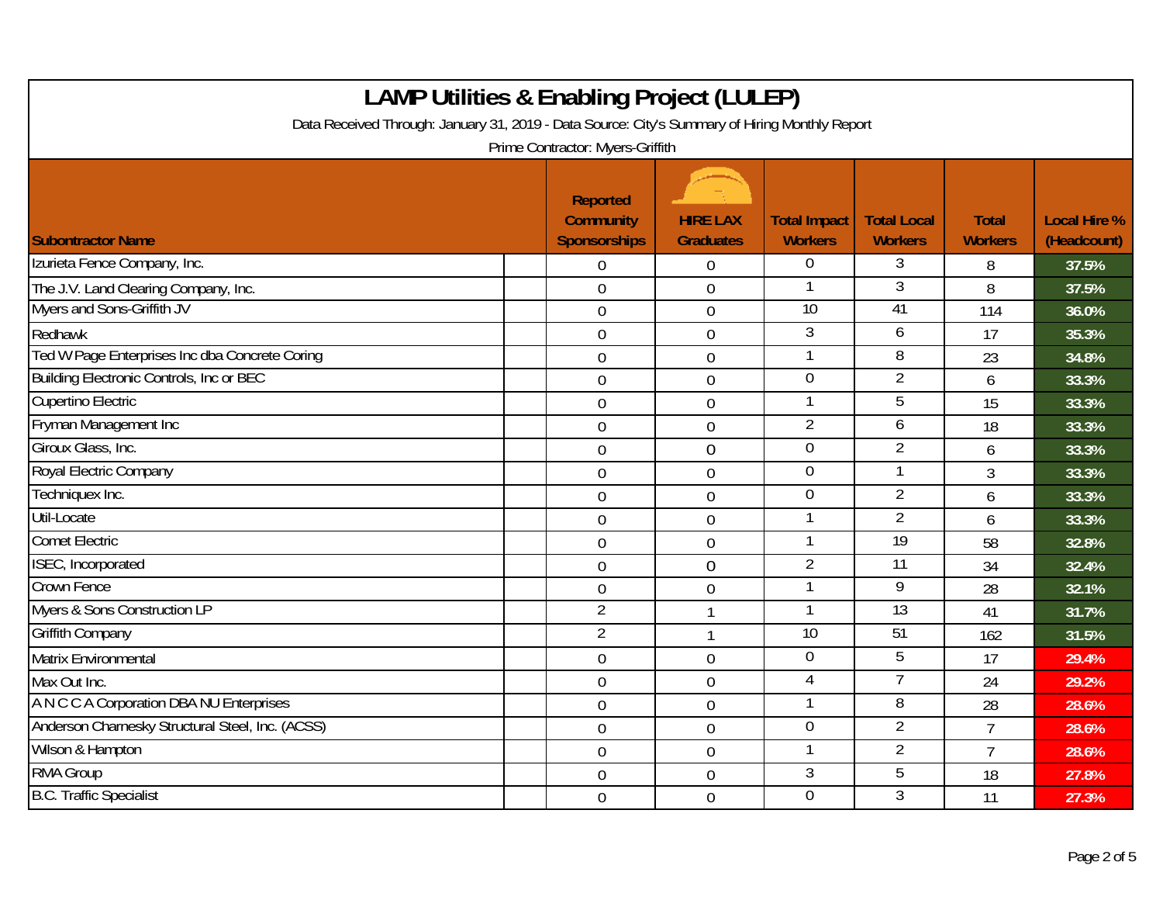| <b>LAMP Utilities &amp; Enabling Project (LULEP)</b><br>Data Received Through: January 31, 2019 - Data Source: City's Summary of Hiring Monthly Report |                                                            |                                     |                                       |                                      |                                |                                    |  |
|--------------------------------------------------------------------------------------------------------------------------------------------------------|------------------------------------------------------------|-------------------------------------|---------------------------------------|--------------------------------------|--------------------------------|------------------------------------|--|
|                                                                                                                                                        |                                                            |                                     |                                       |                                      |                                |                                    |  |
| <b>Subontractor Name</b>                                                                                                                               | <b>Reported</b><br><b>Community</b><br><b>Sponsorships</b> | <b>HIRE LAX</b><br><b>Graduates</b> | <b>Total Impact</b><br><b>Workers</b> | <b>Total Local</b><br><b>Workers</b> | <b>Total</b><br><b>Workers</b> | <b>Local Hire %</b><br>(Headcount) |  |
| Izurieta Fence Company, Inc.                                                                                                                           | $\overline{0}$                                             | 0                                   | $\overline{0}$                        | 3                                    | 8                              | 37.5%                              |  |
| The J.V. Land Clearing Company, Inc.                                                                                                                   | $\overline{0}$                                             | $\overline{0}$                      | 1                                     | 3                                    | 8                              | 37.5%                              |  |
| Myers and Sons-Griffith JV                                                                                                                             | $\overline{0}$                                             | 0                                   | 10                                    | 41                                   | 114                            | 36.0%                              |  |
| Redhawk                                                                                                                                                | $\overline{0}$                                             | $\mathbf 0$                         | 3                                     | 6                                    | 17                             | 35.3%                              |  |
| Ted W Page Enterprises Inc dba Concrete Coring                                                                                                         | $\boldsymbol{0}$                                           | 0                                   | 1                                     | 8                                    | 23                             | 34.8%                              |  |
| Building Electronic Controls, Inc or BEC                                                                                                               | $\overline{0}$                                             | 0                                   | $\overline{0}$                        | $\overline{2}$                       | 6                              | 33.3%                              |  |
| Cupertino Electric                                                                                                                                     | $\mathbf 0$                                                | 0                                   | $\mathbf 1$                           | 5                                    | 15                             | 33.3%                              |  |
| Fryman Management Inc                                                                                                                                  | $\overline{0}$                                             | $\overline{0}$                      | $\overline{2}$                        | 6                                    | 18                             | 33.3%                              |  |
| Giroux Glass, Inc.                                                                                                                                     | $\mathbf 0$                                                | 0                                   | $\overline{0}$                        | $\overline{2}$                       | 6                              | 33.3%                              |  |
| Royal Electric Company                                                                                                                                 | $\mathbf 0$                                                | $\mathbf 0$                         | $\mathbf 0$                           |                                      | 3                              | 33.3%                              |  |
| Techniquex Inc.                                                                                                                                        | $\overline{0}$                                             | $\overline{0}$                      | 0                                     | $\overline{2}$                       | 6                              | 33.3%                              |  |
| Util-Locate                                                                                                                                            | $\mathbf 0$                                                | 0                                   | $\mathbf{1}$                          | $\overline{2}$                       | 6                              | 33.3%                              |  |
| <b>Comet Electric</b>                                                                                                                                  | $\overline{0}$                                             | 0                                   | $\mathbf 1$                           | 19                                   | 58                             | 32.8%                              |  |
| ISEC, Incorporated                                                                                                                                     | $\overline{0}$                                             | $\overline{0}$                      | $\overline{2}$                        | 11                                   | 34                             | 32.4%                              |  |
| <b>Crown Fence</b>                                                                                                                                     | $\overline{0}$                                             | $\mathbf 0$                         | $\mathbf{1}$                          | $\overline{9}$                       | 28                             | 32.1%                              |  |
| Myers & Sons Construction LP                                                                                                                           | $\overline{2}$                                             | $\mathbf{1}$                        | 1                                     | 13                                   | 41                             | 31.7%                              |  |
| <b>Griffith Company</b>                                                                                                                                | $\overline{2}$                                             | $\mathbf{1}$                        | 10                                    | 51                                   | 162                            | 31.5%                              |  |
| Matrix Environmental                                                                                                                                   | $\mathbf 0$                                                | 0                                   | 0                                     | 5                                    | 17                             | 29.4%                              |  |
| Max Out Inc.                                                                                                                                           | $\overline{0}$                                             | $\mathbf 0$                         | $\overline{4}$                        | $\overline{7}$                       | 24                             | 29.2%                              |  |
| A N C C A Corporation DBA NU Enterprises                                                                                                               | $\overline{0}$                                             | 0                                   | $\mathbf 1$                           | 8                                    | 28                             | 28.6%                              |  |
| Anderson Charnesky Structural Steel, Inc. (ACSS)                                                                                                       | $\overline{0}$                                             | $\mathbf 0$                         | $\mathbf 0$                           | $\overline{2}$                       | $\overline{7}$                 | 28.6%                              |  |
| Wilson & Hampton                                                                                                                                       | $\overline{0}$                                             | $\overline{0}$                      | $\mathbf{1}$                          | $\overline{2}$                       | $\overline{7}$                 | 28.6%                              |  |
| <b>RMA Group</b>                                                                                                                                       | $\mathbf 0$                                                | $\overline{0}$                      | $\overline{3}$                        | 5                                    | 18                             | 27.8%                              |  |
| <b>B.C. Traffic Specialist</b>                                                                                                                         | $\overline{0}$                                             | $\mathbf 0$                         | $\overline{0}$                        | 3                                    | 11                             | 27.3%                              |  |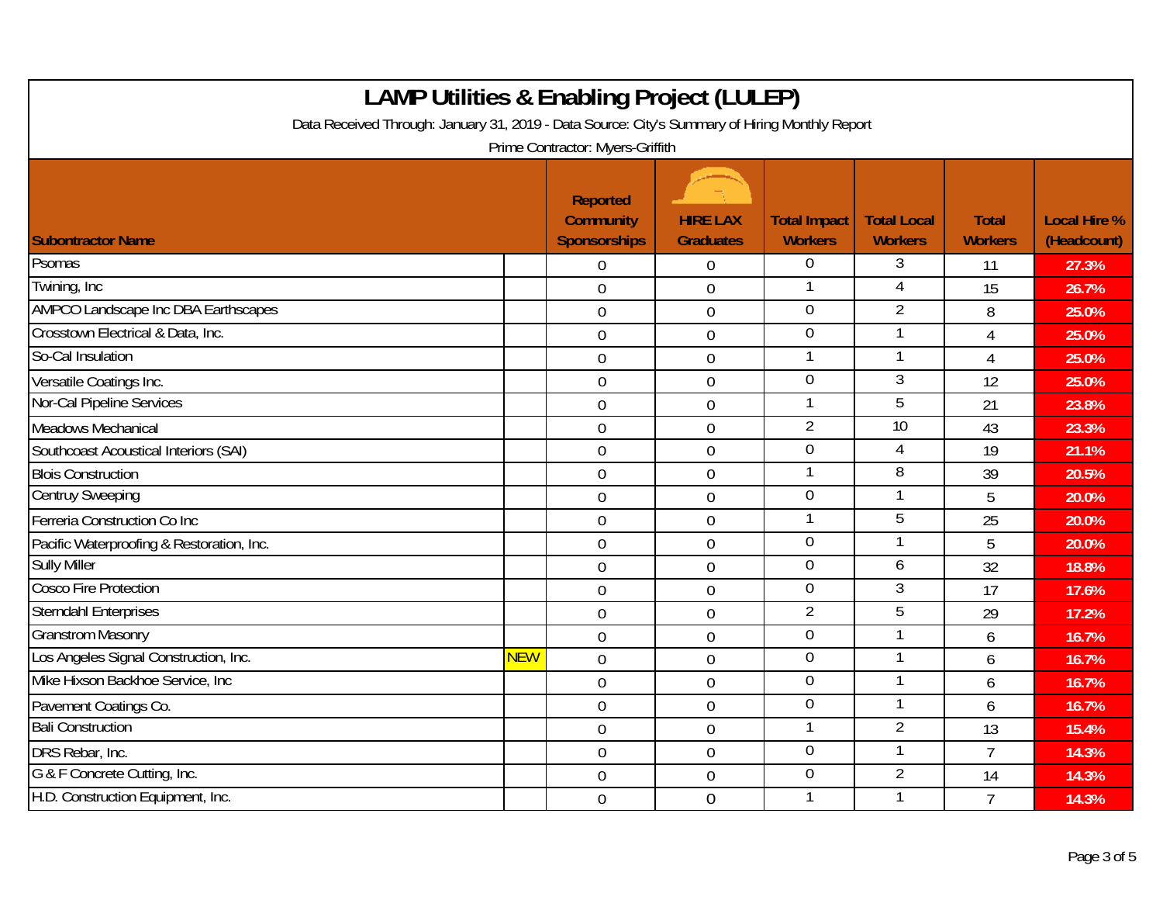| <b>LAMP Utilities &amp; Enabling Project (LULEP)</b><br>Data Received Through: January 31, 2019 - Data Source: City's Summary of Hiring Monthly Report<br>Prime Contractor: Myers-Griffith |            |                |                  |                |                 |                |       |
|--------------------------------------------------------------------------------------------------------------------------------------------------------------------------------------------|------------|----------------|------------------|----------------|-----------------|----------------|-------|
|                                                                                                                                                                                            |            |                |                  |                |                 |                |       |
| Psomas                                                                                                                                                                                     |            | $\overline{0}$ | 0                | $\overline{0}$ | 3               | -11            | 27.3% |
| Twining, Inc                                                                                                                                                                               |            | $\mathbf 0$    | 0                | 1              | 4               | 15             | 26.7% |
| AMPCO Landscape Inc DBA Earthscapes                                                                                                                                                        |            | $\mathbf 0$    | 0                | 0              | $\overline{2}$  | 8              | 25.0% |
| Crosstown Electrical & Data, Inc.                                                                                                                                                          |            | $\overline{0}$ | $\mathbf 0$      | $\overline{0}$ |                 | 4              | 25.0% |
| So-Cal Insulation                                                                                                                                                                          |            | $\mathbf 0$    | $\overline{0}$   | 1              |                 | $\overline{4}$ | 25.0% |
| Versatile Coatings Inc.                                                                                                                                                                    |            | $\overline{0}$ | $\overline{0}$   | 0              | $\overline{3}$  | 12             | 25.0% |
| Nor-Cal Pipeline Services                                                                                                                                                                  |            | $\mathbf 0$    | 0                | 1              | 5               | 21             | 23.8% |
| Meadows Mechanical                                                                                                                                                                         |            | $\overline{0}$ | $\overline{0}$   | $\overline{2}$ | $\overline{10}$ | 43             | 23.3% |
| Southcoast Acoustical Interiors (SAI)                                                                                                                                                      |            | $\mathbf 0$    | $\overline{0}$   | $\overline{0}$ | $\overline{4}$  | 19             | 21.1% |
| <b>Blois Construction</b>                                                                                                                                                                  |            | $\overline{0}$ | $\mathbf 0$      | 1              | 8               | 39             | 20.5% |
| <b>Centruy Sweeping</b>                                                                                                                                                                    |            | $\mathbf 0$    | 0                | $\overline{0}$ | 1               | 5              | 20.0% |
| Ferreria Construction Co Inc                                                                                                                                                               |            | $\overline{0}$ | 0                | 1              | 5               | 25             | 20.0% |
| Pacific Waterproofing & Restoration, Inc.                                                                                                                                                  |            | $\overline{0}$ | $\mathbf 0$      | $\overline{0}$ |                 | 5              | 20.0% |
| <b>Sully Miller</b>                                                                                                                                                                        |            | $\overline{0}$ | $\overline{0}$   | $\overline{0}$ | 6               | 32             | 18.8% |
| <b>Cosco Fire Protection</b>                                                                                                                                                               |            | $\mathbf 0$    | $\boldsymbol{0}$ | $\overline{0}$ | 3               | 17             | 17.6% |
| <b>Sterndahl Enterprises</b>                                                                                                                                                               |            | $\mathbf 0$    | $\mathbf 0$      | $\overline{2}$ | 5               | 29             | 17.2% |
| <b>Granstrom Masonry</b>                                                                                                                                                                   |            | $\overline{0}$ | $\mathbf 0$      | $\overline{0}$ |                 | 6              | 16.7% |
| Los Angeles Signal Construction, Inc.                                                                                                                                                      | <b>NEW</b> | $\overline{0}$ | $\overline{0}$   | 0              |                 | 6              | 16.7% |
| Mike Hixson Backhoe Service, Inc                                                                                                                                                           |            | $\overline{0}$ | 0                | 0              |                 | 6              | 16.7% |
| Pavement Coatings Co.                                                                                                                                                                      |            | $\overline{0}$ | $\overline{0}$   | 0              |                 | 6              | 16.7% |
| <b>Bali Construction</b>                                                                                                                                                                   |            | $\overline{0}$ | $\mathbf 0$      | 1              | $\overline{2}$  | 13             | 15.4% |
| DRS Rebar, Inc.                                                                                                                                                                            |            | $\mathbf 0$    | $\mathbf 0$      | $\mathbf 0$    |                 | $\overline{7}$ | 14.3% |
| G & F Concrete Cutting, Inc.                                                                                                                                                               |            | $\overline{0}$ | 0                | $\overline{0}$ | $\overline{2}$  | 14             | 14.3% |
| H.D. Construction Equipment, Inc.                                                                                                                                                          |            | $\overline{0}$ | $\overline{0}$   | 1              |                 | $\overline{7}$ | 14.3% |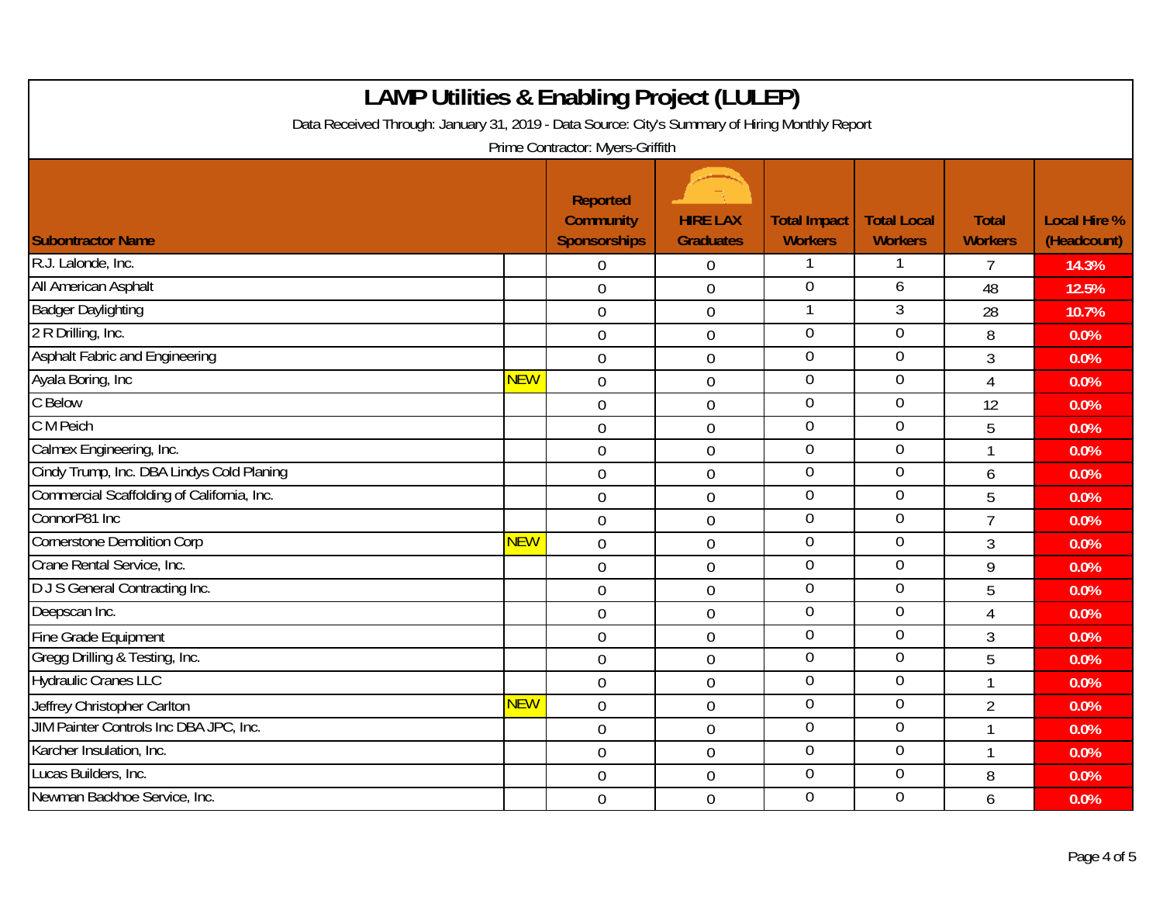| <b>LAMP Utilities &amp; Enabling Project (LULEP)</b>                                                                               |            |                                                            |                                     |                                       |                                      |                                |                                    |
|------------------------------------------------------------------------------------------------------------------------------------|------------|------------------------------------------------------------|-------------------------------------|---------------------------------------|--------------------------------------|--------------------------------|------------------------------------|
| Data Received Through: January 31, 2019 - Data Source: City's Summary of Hiring Monthly Report<br>Prime Contractor: Myers-Griffith |            |                                                            |                                     |                                       |                                      |                                |                                    |
| <b>Subontractor Name</b>                                                                                                           |            | <b>Reported</b><br><b>Community</b><br><b>Sponsorships</b> | <b>HIRE LAX</b><br><b>Graduates</b> | <b>Total Impact</b><br><b>Workers</b> | <b>Total Local</b><br><b>Workers</b> | <b>Total</b><br><b>Workers</b> | <b>Local Hire %</b><br>(Headcount) |
| R.J. Lalonde, Inc.                                                                                                                 |            | $\overline{0}$                                             | $\mathbf 0$                         | 1                                     | 1                                    | 7                              | 14.3%                              |
| All American Asphalt                                                                                                               |            | $\mathbf 0$                                                | $\mathbf 0$                         | $\theta$                              | 6                                    | 48                             | 12.5%                              |
| <b>Badger Daylighting</b>                                                                                                          |            | $\overline{0}$                                             | $\mathbf 0$                         |                                       | $\overline{3}$                       | 28                             | 10.7%                              |
| 2 R Drilling, Inc.                                                                                                                 |            | $\boldsymbol{0}$                                           | $\boldsymbol{0}$                    | $\mathbf 0$                           | $\mathbf 0$                          | 8                              | 0.0%                               |
| <b>Asphalt Fabric and Engineering</b>                                                                                              |            | $\mathbf 0$                                                | $\boldsymbol{0}$                    | $\overline{0}$                        | $\overline{0}$                       | 3                              | 0.0%                               |
| Ayala Boring, Inc                                                                                                                  | <b>NEW</b> | $\overline{0}$                                             | $\overline{0}$                      | $\overline{0}$                        | $\overline{0}$                       | $\overline{4}$                 | 0.0%                               |
| C Below                                                                                                                            |            | $\mathbf 0$                                                | $\mathbf 0$                         | $\overline{0}$                        | $\overline{0}$                       | 12                             | 0.0%                               |
| C M Peich                                                                                                                          |            | $\mathbf 0$                                                | $\mathbf 0$                         | $\mathbf 0$                           | $\mathbf 0$                          | 5                              | 0.0%                               |
| Calmex Engineering, Inc.                                                                                                           |            | $\overline{0}$                                             | $\boldsymbol{0}$                    | $\theta$                              | $\overline{0}$                       | 1                              | 0.0%                               |
| Cindy Trump, Inc. DBA Lindys Cold Planing                                                                                          |            | $\mathbf 0$                                                | $\mathbf 0$                         | $\overline{0}$                        | $\overline{0}$                       | 6                              | 0.0%                               |
| Commercial Scaffolding of California, Inc.                                                                                         |            | $\overline{0}$                                             | $\overline{0}$                      | $\mathbf 0$                           | $\mathbf 0$                          | 5                              | 0.0%                               |
| ConnorP81 Inc                                                                                                                      |            | $\mathbf 0$                                                | $\overline{0}$                      | $\overline{0}$                        | $\Omega$                             | $\overline{7}$                 | 0.0%                               |
| <b>Cornerstone Demolition Corp</b>                                                                                                 | <b>NEW</b> | $\overline{0}$                                             | $\mathbf 0$                         | $\mathbf 0$                           | $\mathbf 0$                          | 3                              | 0.0%                               |
| Crane Rental Service, Inc.                                                                                                         |            | $\overline{0}$                                             | $\overline{0}$                      | $\overline{0}$                        | $\overline{0}$                       | 9                              | 0.0%                               |
| D J S General Contracting Inc.                                                                                                     |            | $\mathbf 0$                                                | $\boldsymbol{0}$                    | $\overline{0}$                        | $\overline{0}$                       | 5                              | 0.0%                               |
| Deepscan Inc.                                                                                                                      |            | $\mathbf 0$                                                | $\overline{0}$                      | $\mathbf 0$                           | $\mathbf 0$                          | $\overline{4}$                 | 0.0%                               |
| Fine Grade Equipment                                                                                                               |            | $\mathbf 0$                                                | $\mathbf 0$                         | $\overline{0}$                        | $\overline{0}$                       | 3                              | 0.0%                               |
| Gregg Drilling & Testing, Inc.                                                                                                     |            | $\mathbf 0$                                                | $\overline{0}$                      | $\overline{0}$                        | $\overline{0}$                       | 5                              | 0.0%                               |
| <b>Hydraulic Cranes LLC</b>                                                                                                        |            | $\overline{0}$                                             | $\overline{0}$                      | $\overline{0}$                        | $\overline{0}$                       | $\mathbf{1}$                   | 0.0%                               |
| Jeffrey Christopher Carlton                                                                                                        | <b>NEW</b> | $\overline{0}$                                             | $\mathbf 0$                         | $\overline{0}$                        | $\overline{0}$                       | $\overline{2}$                 | 0.0%                               |
| JIM Painter Controls Inc DBA JPC, Inc.                                                                                             |            | $\mathbf 0$                                                | $\mathbf 0$                         | $\mathbf 0$                           | $\mathbf 0$                          | 1                              | 0.0%                               |
| Karcher Insulation, Inc.                                                                                                           |            | $\boldsymbol{0}$                                           | $\boldsymbol{0}$                    | $\overline{0}$                        | $\overline{0}$                       | $\mathbf{1}$                   | 0.0%                               |
| Lucas Builders, Inc.                                                                                                               |            | $\overline{0}$                                             | $\mathbf 0$                         | $\overline{0}$                        | $\overline{0}$                       | 8                              | 0.0%                               |
| Newman Backhoe Service, Inc.                                                                                                       |            | $\overline{0}$                                             | $\overline{0}$                      | $\mathbf 0$                           | $\overline{0}$                       | 6                              | 0.0%                               |